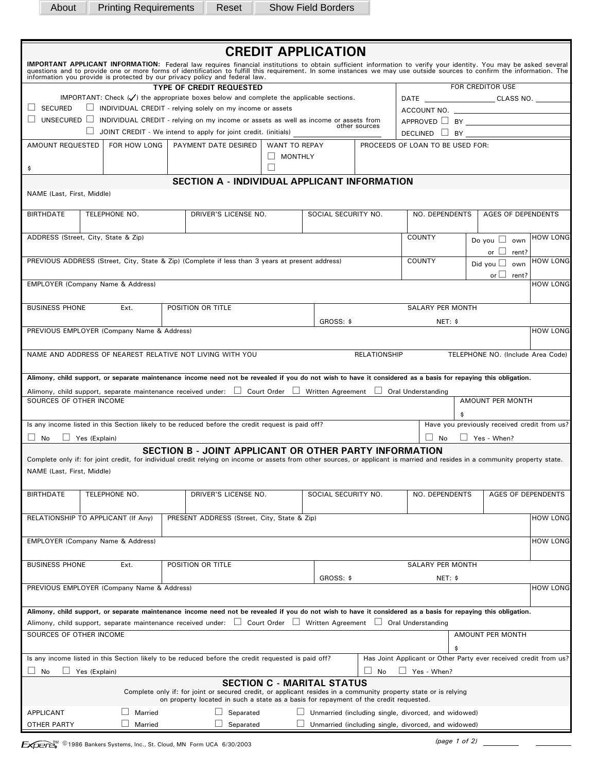About Printing Requirements Reset Show Field Borders

| <b>CREDIT APPLICATION</b>                                                                                                                                                                                                                                                                                     |                                                                                                   |  |                                                                                                                                                                                                                                                                                      |                |                     |                     |                                                                  |                                              |                           |  |  |  |  |
|---------------------------------------------------------------------------------------------------------------------------------------------------------------------------------------------------------------------------------------------------------------------------------------------------------------|---------------------------------------------------------------------------------------------------|--|--------------------------------------------------------------------------------------------------------------------------------------------------------------------------------------------------------------------------------------------------------------------------------------|----------------|---------------------|---------------------|------------------------------------------------------------------|----------------------------------------------|---------------------------|--|--|--|--|
| IMPORTANT APPLICANT INFORMATION: Federal law requires financial institutions to obtain sufficient information to verify your identity. You may be asked several questions and to provide one or more forms of identification t<br>information you provide is protected by our privacy policy and federal law. |                                                                                                   |  |                                                                                                                                                                                                                                                                                      |                |                     |                     |                                                                  |                                              |                           |  |  |  |  |
|                                                                                                                                                                                                                                                                                                               |                                                                                                   |  | <b>FOR CREDITOR USE</b>                                                                                                                                                                                                                                                              |                |                     |                     |                                                                  |                                              |                           |  |  |  |  |
|                                                                                                                                                                                                                                                                                                               | IMPORTANT: Check $(\checkmark)$ the appropriate boxes below and complete the applicable sections. |  | DATE ___________________________CLASS NO. _______                                                                                                                                                                                                                                    |                |                     |                     |                                                                  |                                              |                           |  |  |  |  |
| $\Box$ SECURED                                                                                                                                                                                                                                                                                                | INDIVIDUAL CREDIT - relying solely on my income or assets                                         |  |                                                                                                                                                                                                                                                                                      |                |                     |                     |                                                                  |                                              |                           |  |  |  |  |
| UNSECURED $\Box$ INDIVIDUAL CREDIT - relying on my income or assets as well as income or assets from<br>other sources                                                                                                                                                                                         |                                                                                                   |  |                                                                                                                                                                                                                                                                                      |                |                     |                     |                                                                  |                                              |                           |  |  |  |  |
|                                                                                                                                                                                                                                                                                                               |                                                                                                   |  | $\Box$ JOINT CREDIT - We intend to apply for joint credit. (initials)                                                                                                                                                                                                                |                |                     |                     |                                                                  |                                              |                           |  |  |  |  |
| AMOUNT REQUESTED                                                                                                                                                                                                                                                                                              | FOR HOW LONG                                                                                      |  | PAYMENT DATE DESIRED                                                                                                                                                                                                                                                                 | WANT TO REPAY  |                     |                     | PROCEEDS OF LOAN TO BE USED FOR:                                 |                                              |                           |  |  |  |  |
|                                                                                                                                                                                                                                                                                                               |                                                                                                   |  |                                                                                                                                                                                                                                                                                      | $\Box$ MONTHLY |                     |                     |                                                                  |                                              |                           |  |  |  |  |
| \$                                                                                                                                                                                                                                                                                                            |                                                                                                   |  |                                                                                                                                                                                                                                                                                      |                |                     |                     |                                                                  |                                              |                           |  |  |  |  |
|                                                                                                                                                                                                                                                                                                               |                                                                                                   |  | <b>SECTION A - INDIVIDUAL APPLICANT INFORMATION</b>                                                                                                                                                                                                                                  |                |                     |                     |                                                                  |                                              |                           |  |  |  |  |
| NAME (Last, First, Middle)                                                                                                                                                                                                                                                                                    |                                                                                                   |  |                                                                                                                                                                                                                                                                                      |                |                     |                     |                                                                  |                                              |                           |  |  |  |  |
| <b>BIRTHDATE</b>                                                                                                                                                                                                                                                                                              | TELEPHONE NO.                                                                                     |  | DRIVER'S LICENSE NO.                                                                                                                                                                                                                                                                 |                | SOCIAL SECURITY NO. |                     | NO. DEPENDENTS                                                   |                                              | <b>AGES OF DEPENDENTS</b> |  |  |  |  |
|                                                                                                                                                                                                                                                                                                               | ADDRESS (Street, City, State & Zip)                                                               |  |                                                                                                                                                                                                                                                                                      |                |                     |                     | <b>COUNTY</b>                                                    |                                              | <b>HOW LONG</b>           |  |  |  |  |
|                                                                                                                                                                                                                                                                                                               |                                                                                                   |  |                                                                                                                                                                                                                                                                                      |                |                     |                     |                                                                  | Do you $\Box$ own                            |                           |  |  |  |  |
|                                                                                                                                                                                                                                                                                                               |                                                                                                   |  | PREVIOUS ADDRESS (Street, City, State & Zip) (Complete if less than 3 years at present address)                                                                                                                                                                                      |                |                     |                     | COUNTY                                                           | or $\Box$ rent?                              | <b>HOW LONG</b>           |  |  |  |  |
|                                                                                                                                                                                                                                                                                                               |                                                                                                   |  |                                                                                                                                                                                                                                                                                      |                |                     |                     |                                                                  | Did you $\Box$ own                           |                           |  |  |  |  |
|                                                                                                                                                                                                                                                                                                               | <b>EMPLOYER (Company Name &amp; Address)</b>                                                      |  |                                                                                                                                                                                                                                                                                      |                |                     |                     |                                                                  | or $\Box$<br>rent?                           | <b>HOW LONG</b>           |  |  |  |  |
|                                                                                                                                                                                                                                                                                                               |                                                                                                   |  |                                                                                                                                                                                                                                                                                      |                |                     |                     |                                                                  |                                              |                           |  |  |  |  |
| <b>BUSINESS PHONE</b>                                                                                                                                                                                                                                                                                         | Ext.                                                                                              |  | POSITION OR TITLE                                                                                                                                                                                                                                                                    |                |                     |                     | <b>SALARY PER MONTH</b>                                          |                                              |                           |  |  |  |  |
|                                                                                                                                                                                                                                                                                                               |                                                                                                   |  |                                                                                                                                                                                                                                                                                      |                |                     |                     |                                                                  |                                              |                           |  |  |  |  |
|                                                                                                                                                                                                                                                                                                               | PREVIOUS EMPLOYER (Company Name & Address)                                                        |  |                                                                                                                                                                                                                                                                                      |                | GROSS: \$           |                     | NET: \$                                                          |                                              | <b>HOW LONG</b>           |  |  |  |  |
|                                                                                                                                                                                                                                                                                                               |                                                                                                   |  |                                                                                                                                                                                                                                                                                      |                |                     |                     |                                                                  |                                              |                           |  |  |  |  |
|                                                                                                                                                                                                                                                                                                               |                                                                                                   |  | NAME AND ADDRESS OF NEAREST RELATIVE NOT LIVING WITH YOU                                                                                                                                                                                                                             |                |                     | <b>RELATIONSHIP</b> |                                                                  | TELEPHONE NO. (Include Area Code)            |                           |  |  |  |  |
|                                                                                                                                                                                                                                                                                                               |                                                                                                   |  |                                                                                                                                                                                                                                                                                      |                |                     |                     |                                                                  |                                              |                           |  |  |  |  |
|                                                                                                                                                                                                                                                                                                               |                                                                                                   |  | Alimony, child support, or separate maintenance income need not be revealed if you do not wish to have it considered as a basis for repaying this obligation.                                                                                                                        |                |                     |                     |                                                                  |                                              |                           |  |  |  |  |
|                                                                                                                                                                                                                                                                                                               |                                                                                                   |  |                                                                                                                                                                                                                                                                                      |                |                     |                     |                                                                  |                                              |                           |  |  |  |  |
| SOURCES OF OTHER INCOME                                                                                                                                                                                                                                                                                       |                                                                                                   |  | Alimony, child support, separate maintenance received under: □ Court Order □ Written Agreement □ Oral Understanding                                                                                                                                                                  |                |                     |                     |                                                                  | AMOUNT PER MONTH                             |                           |  |  |  |  |
|                                                                                                                                                                                                                                                                                                               |                                                                                                   |  |                                                                                                                                                                                                                                                                                      |                |                     |                     |                                                                  |                                              |                           |  |  |  |  |
|                                                                                                                                                                                                                                                                                                               |                                                                                                   |  | Is any income listed in this Section likely to be reduced before the credit request is paid off?                                                                                                                                                                                     |                |                     |                     |                                                                  | Have you previously received credit from us? |                           |  |  |  |  |
|                                                                                                                                                                                                                                                                                                               |                                                                                                   |  |                                                                                                                                                                                                                                                                                      |                |                     |                     |                                                                  |                                              |                           |  |  |  |  |
| $\Box$ No                                                                                                                                                                                                                                                                                                     | $\Box$ Yes (Explain)                                                                              |  |                                                                                                                                                                                                                                                                                      |                |                     |                     | $\vert$   No                                                     | $\Box$ Yes - When?                           |                           |  |  |  |  |
|                                                                                                                                                                                                                                                                                                               |                                                                                                   |  | <b>SECTION B - JOINT APPLICANT OR OTHER PARTY INFORMATION</b><br>Complete only if: for joint credit, for individual credit relying on income or assets from other sources, or applicant is married and resides in a community property state.                                        |                |                     |                     |                                                                  |                                              |                           |  |  |  |  |
| NAME (Last, First, Middle)                                                                                                                                                                                                                                                                                    |                                                                                                   |  |                                                                                                                                                                                                                                                                                      |                |                     |                     |                                                                  |                                              |                           |  |  |  |  |
|                                                                                                                                                                                                                                                                                                               |                                                                                                   |  |                                                                                                                                                                                                                                                                                      |                |                     |                     |                                                                  |                                              |                           |  |  |  |  |
| <b>BIRTHDATE</b>                                                                                                                                                                                                                                                                                              | TELEPHONE NO.                                                                                     |  | DRIVER'S LICENSE NO.                                                                                                                                                                                                                                                                 |                |                     | SOCIAL SECURITY NO. | NO. DEPENDENTS                                                   |                                              | <b>AGES OF DEPENDENTS</b> |  |  |  |  |
|                                                                                                                                                                                                                                                                                                               |                                                                                                   |  |                                                                                                                                                                                                                                                                                      |                |                     |                     |                                                                  |                                              |                           |  |  |  |  |
|                                                                                                                                                                                                                                                                                                               | RELATIONSHIP TO APPLICANT (If Any)                                                                |  | PRESENT ADDRESS (Street, City, State & Zip)                                                                                                                                                                                                                                          |                |                     |                     |                                                                  |                                              | <b>HOW LONG</b>           |  |  |  |  |
|                                                                                                                                                                                                                                                                                                               |                                                                                                   |  |                                                                                                                                                                                                                                                                                      |                |                     |                     |                                                                  |                                              |                           |  |  |  |  |
|                                                                                                                                                                                                                                                                                                               | EMPLOYER (Company Name & Address)                                                                 |  |                                                                                                                                                                                                                                                                                      |                |                     |                     |                                                                  |                                              | <b>HOW LONG</b>           |  |  |  |  |
|                                                                                                                                                                                                                                                                                                               |                                                                                                   |  |                                                                                                                                                                                                                                                                                      |                |                     |                     |                                                                  |                                              |                           |  |  |  |  |
|                                                                                                                                                                                                                                                                                                               | Ext.                                                                                              |  |                                                                                                                                                                                                                                                                                      |                |                     |                     |                                                                  |                                              |                           |  |  |  |  |
| <b>BUSINESS PHONE</b>                                                                                                                                                                                                                                                                                         |                                                                                                   |  | POSITION OR TITLE                                                                                                                                                                                                                                                                    |                |                     | GROSS: \$           |                                                                  | <b>SALARY PER MONTH</b>                      |                           |  |  |  |  |
| PREVIOUS EMPLOYER (Company Name & Address)                                                                                                                                                                                                                                                                    |                                                                                                   |  |                                                                                                                                                                                                                                                                                      |                |                     |                     | NET: \$                                                          |                                              |                           |  |  |  |  |
|                                                                                                                                                                                                                                                                                                               |                                                                                                   |  |                                                                                                                                                                                                                                                                                      |                |                     |                     |                                                                  |                                              | <b>HOW LONG</b>           |  |  |  |  |
|                                                                                                                                                                                                                                                                                                               |                                                                                                   |  |                                                                                                                                                                                                                                                                                      |                |                     |                     |                                                                  |                                              |                           |  |  |  |  |
|                                                                                                                                                                                                                                                                                                               |                                                                                                   |  | Alimony, child support, or separate maintenance income need not be revealed if you do not wish to have it considered as a basis for repaying this obligation.<br>Alimony, child support, separate maintenance received under: □ Court Order □ Written Agreement □ Oral Understanding |                |                     |                     |                                                                  |                                              |                           |  |  |  |  |
|                                                                                                                                                                                                                                                                                                               |                                                                                                   |  |                                                                                                                                                                                                                                                                                      |                |                     |                     |                                                                  |                                              |                           |  |  |  |  |
| SOURCES OF OTHER INCOME                                                                                                                                                                                                                                                                                       |                                                                                                   |  |                                                                                                                                                                                                                                                                                      |                |                     |                     |                                                                  | AMOUNT PER MONTH                             |                           |  |  |  |  |
|                                                                                                                                                                                                                                                                                                               |                                                                                                   |  |                                                                                                                                                                                                                                                                                      |                |                     |                     | \$                                                               |                                              |                           |  |  |  |  |
|                                                                                                                                                                                                                                                                                                               |                                                                                                   |  | Is any income listed in this Section likely to be reduced before the credit requested is paid off?                                                                                                                                                                                   |                |                     |                     | Has Joint Applicant or Other Party ever received credit from us? |                                              |                           |  |  |  |  |
| Yes (Explain)<br>$\Box$ No<br>$\Box$ Yes - When?<br>No                                                                                                                                                                                                                                                        |                                                                                                   |  |                                                                                                                                                                                                                                                                                      |                |                     |                     |                                                                  |                                              |                           |  |  |  |  |
| <b>SECTION C - MARITAL STATUS</b><br>Complete only if: for joint or secured credit, or applicant resides in a community property state or is relying<br>on property located in such a state as a basis for repayment of the credit requested.                                                                 |                                                                                                   |  |                                                                                                                                                                                                                                                                                      |                |                     |                     |                                                                  |                                              |                           |  |  |  |  |
|                                                                                                                                                                                                                                                                                                               |                                                                                                   |  |                                                                                                                                                                                                                                                                                      |                |                     |                     |                                                                  |                                              |                           |  |  |  |  |
| Married<br>Separated<br>$\Box$ Unmarried (including single, divorced, and widowed)<br><b>APPLICANT</b>                                                                                                                                                                                                        |                                                                                                   |  |                                                                                                                                                                                                                                                                                      |                |                     |                     |                                                                  |                                              |                           |  |  |  |  |
| Unmarried (including single, divorced, and widowed)<br>OTHER PARTY<br>Married<br>Separated                                                                                                                                                                                                                    |                                                                                                   |  |                                                                                                                                                                                                                                                                                      |                |                     |                     |                                                                  |                                              |                           |  |  |  |  |